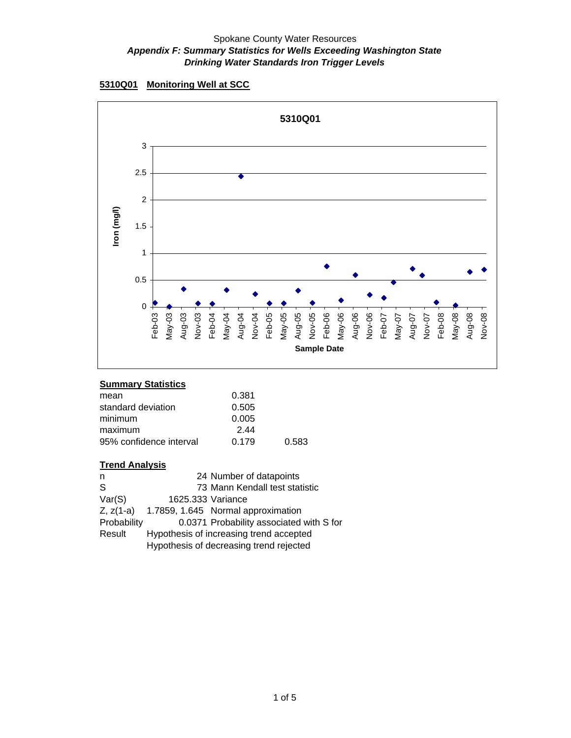**<sup>5310</sup>Q01 Monitoring Well at SCC**



# **Summary Statistics**

| 0.381 |       |
|-------|-------|
| 0.505 |       |
| 0.005 |       |
| 244   |       |
| 0.179 | 0.583 |
|       |       |

| n           |                   | 24 Number of datapoints                  |
|-------------|-------------------|------------------------------------------|
| S           |                   | 73 Mann Kendall test statistic           |
| Var(S)      | 1625.333 Variance |                                          |
| $Z, z(1-a)$ |                   | 1.7859, 1.645 Normal approximation       |
| Probability |                   | 0.0371 Probability associated with S for |
| Result      |                   | Hypothesis of increasing trend accepted  |
|             |                   | Hypothesis of decreasing trend rejected  |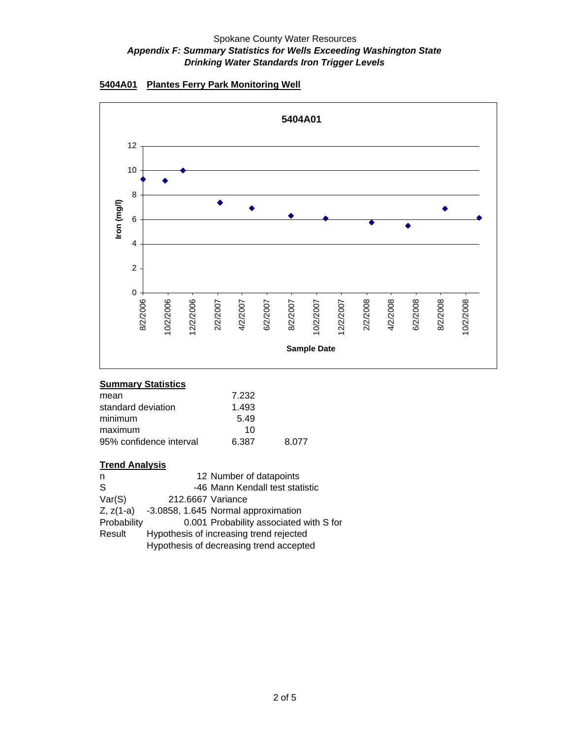



# **Summary Statistics**

| 7.232 |       |
|-------|-------|
| 1.493 |       |
| 5.49  |       |
| 10    |       |
| 6.387 | 8.077 |
|       |       |

| n            |                   | 12 Number of datapoints                 |
|--------------|-------------------|-----------------------------------------|
| <sub>S</sub> |                   | -46 Mann Kendall test statistic         |
| Var(S)       | 212.6667 Variance |                                         |
| $Z, z(1-a)$  |                   | -3.0858, 1.645 Normal approximation     |
| Probability  |                   | 0.001 Probability associated with S for |
| Result       |                   | Hypothesis of increasing trend rejected |
|              |                   | Hypothesis of decreasing trend accepted |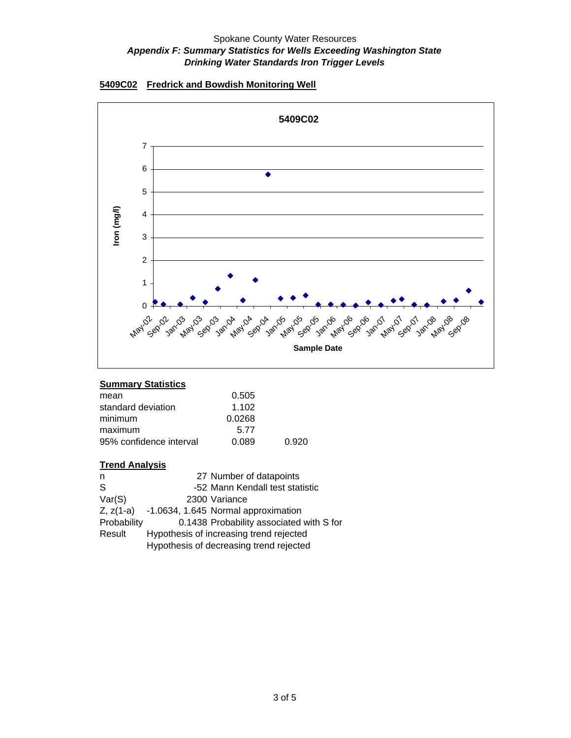



# **Summary Statistics**

| 0.505  |       |
|--------|-------|
| 1.102  |       |
| 0.0268 |       |
| 5.77   |       |
| 0.089  | 0.920 |
|        |       |

| n            | 27 Number of datapoints                  |
|--------------|------------------------------------------|
| <sub>S</sub> | -52 Mann Kendall test statistic          |
| Var(S)       | 2300 Variance                            |
| $Z, z(1-a)$  | -1.0634, 1.645 Normal approximation      |
| Probability  | 0.1438 Probability associated with S for |
| Result       | Hypothesis of increasing trend rejected  |
|              | Hypothesis of decreasing trend rejected  |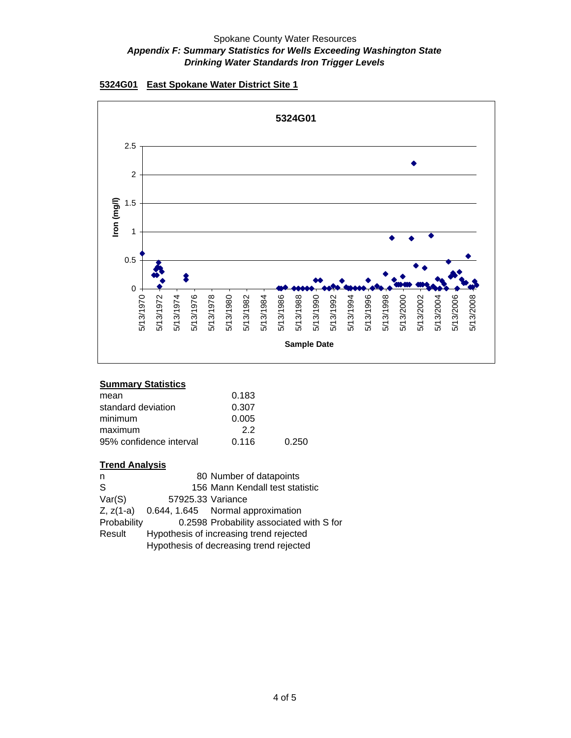



# **Summary Statistics**

| 0.183 |       |
|-------|-------|
| 0.307 |       |
| 0.005 |       |
| 22    |       |
| 0.116 | 0.250 |
|       |       |

|                   | 80 Number of datapoints                  |
|-------------------|------------------------------------------|
|                   | 156 Mann Kendall test statistic          |
| 57925.33 Variance |                                          |
|                   | 0.644, 1.645 Normal approximation        |
|                   | 0.2598 Probability associated with S for |
|                   | Hypothesis of increasing trend rejected  |
|                   | Hypothesis of decreasing trend rejected  |
|                   |                                          |